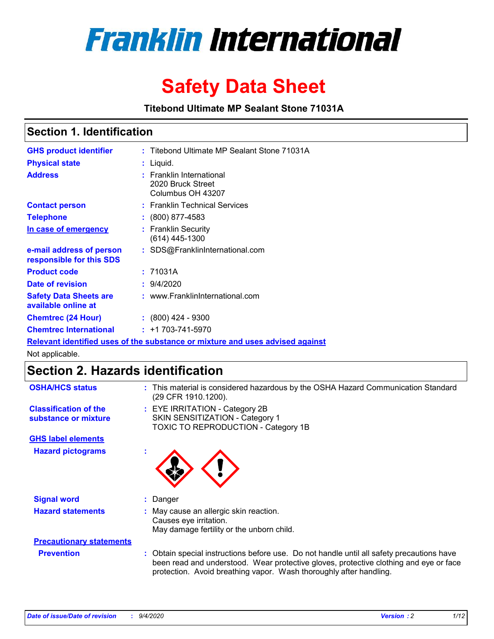

# **Safety Data Sheet**

**Titebond Ultimate MP Sealant Stone 71031A**

### **Section 1. Identification**

| <b>GHS product identifier</b>                                                 |  | : Titebond Ultimate MP Sealant Stone 71031A                        |  |  |  |
|-------------------------------------------------------------------------------|--|--------------------------------------------------------------------|--|--|--|
| <b>Physical state</b>                                                         |  | : Liquid.                                                          |  |  |  |
| <b>Address</b>                                                                |  | : Franklin International<br>2020 Bruck Street<br>Columbus OH 43207 |  |  |  |
| <b>Contact person</b>                                                         |  | : Franklin Technical Services                                      |  |  |  |
| <b>Telephone</b>                                                              |  | $\colon$ (800) 877-4583                                            |  |  |  |
| In case of emergency                                                          |  | : Franklin Security<br>(614) 445-1300                              |  |  |  |
| e-mail address of person<br>responsible for this SDS                          |  | : SDS@FranklinInternational.com                                    |  |  |  |
| <b>Product code</b>                                                           |  | : 71031A                                                           |  |  |  |
| Date of revision                                                              |  | : 9/4/2020                                                         |  |  |  |
| <b>Safety Data Sheets are</b><br>available online at                          |  | : www.FranklinInternational.com                                    |  |  |  |
| <b>Chemtrec (24 Hour)</b>                                                     |  | $\cdot$ (800) 424 - 9300                                           |  |  |  |
| <b>Chemtrec International</b>                                                 |  | $: +1703 - 741 - 5970$                                             |  |  |  |
| Relevant identified uses of the substance or mixture and uses advised against |  |                                                                    |  |  |  |

Not applicable.

## **Section 2. Hazards identification**

| <b>OSHA/HCS status</b>                               | This material is considered hazardous by the OSHA Hazard Communication Standard<br>(29 CFR 1910.1200).                                                                                                                                                 |
|------------------------------------------------------|--------------------------------------------------------------------------------------------------------------------------------------------------------------------------------------------------------------------------------------------------------|
| <b>Classification of the</b><br>substance or mixture | : EYE IRRITATION - Category 2B<br>SKIN SENSITIZATION - Category 1<br>TOXIC TO REPRODUCTION - Category 1B                                                                                                                                               |
| <b>GHS label elements</b>                            |                                                                                                                                                                                                                                                        |
| <b>Hazard pictograms</b>                             |                                                                                                                                                                                                                                                        |
| <b>Signal word</b>                                   | Danger                                                                                                                                                                                                                                                 |
| <b>Hazard statements</b>                             | May cause an allergic skin reaction.<br>Causes eye irritation.<br>May damage fertility or the unborn child.                                                                                                                                            |
| <b>Precautionary statements</b>                      |                                                                                                                                                                                                                                                        |
| <b>Prevention</b>                                    | Obtain special instructions before use. Do not handle until all safety precautions have<br>been read and understood. Wear protective gloves, protective clothing and eye or face<br>protection. Avoid breathing vapor. Wash thoroughly after handling. |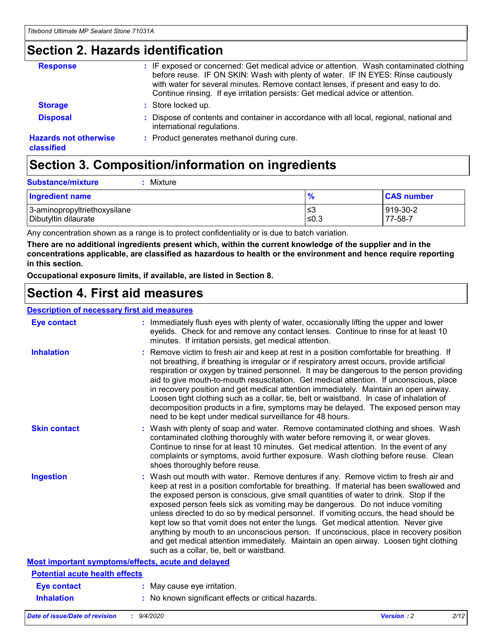### **Section 2. Hazards identification**

| <b>Response</b>                            | : IF exposed or concerned: Get medical advice or attention. Wash contaminated clothing<br>before reuse. IF ON SKIN: Wash with plenty of water. IF IN EYES: Rinse cautiously<br>with water for several minutes. Remove contact lenses, if present and easy to do.<br>Continue rinsing. If eye irritation persists: Get medical advice or attention. |
|--------------------------------------------|----------------------------------------------------------------------------------------------------------------------------------------------------------------------------------------------------------------------------------------------------------------------------------------------------------------------------------------------------|
| <b>Storage</b>                             | : Store locked up.                                                                                                                                                                                                                                                                                                                                 |
| <b>Disposal</b>                            | : Dispose of contents and container in accordance with all local, regional, national and<br>international regulations.                                                                                                                                                                                                                             |
| <b>Hazards not otherwise</b><br>classified | : Product generates methanol during cure.                                                                                                                                                                                                                                                                                                          |

# **Section 3. Composition/information on ingredients**

| <b>Substance/mixture</b> | Mixture |
|--------------------------|---------|
|                          |         |

| Ingredient name              | %    | <b>CAS number</b> |
|------------------------------|------|-------------------|
| 3-aminopropyltriethoxysilane | ≲3   | 919-30-2          |
| Dibutyltin dilaurate         | ≤0.3 | 77-58-7           |

Any concentration shown as a range is to protect confidentiality or is due to batch variation.

**There are no additional ingredients present which, within the current knowledge of the supplier and in the concentrations applicable, are classified as hazardous to health or the environment and hence require reporting in this section.**

**Occupational exposure limits, if available, are listed in Section 8.**

### **Section 4. First aid measures**

| <b>Description of necessary first aid measures</b> |                                                                                                                                                                                                                                                                                                                                                                                                                                                                                                                                                                                                                                                                                                                                                                           |
|----------------------------------------------------|---------------------------------------------------------------------------------------------------------------------------------------------------------------------------------------------------------------------------------------------------------------------------------------------------------------------------------------------------------------------------------------------------------------------------------------------------------------------------------------------------------------------------------------------------------------------------------------------------------------------------------------------------------------------------------------------------------------------------------------------------------------------------|
| <b>Eye contact</b>                                 | : Immediately flush eyes with plenty of water, occasionally lifting the upper and lower<br>eyelids. Check for and remove any contact lenses. Continue to rinse for at least 10<br>minutes. If irritation persists, get medical attention.                                                                                                                                                                                                                                                                                                                                                                                                                                                                                                                                 |
| <b>Inhalation</b>                                  | : Remove victim to fresh air and keep at rest in a position comfortable for breathing. If<br>not breathing, if breathing is irregular or if respiratory arrest occurs, provide artificial<br>respiration or oxygen by trained personnel. It may be dangerous to the person providing<br>aid to give mouth-to-mouth resuscitation. Get medical attention. If unconscious, place<br>in recovery position and get medical attention immediately. Maintain an open airway.<br>Loosen tight clothing such as a collar, tie, belt or waistband. In case of inhalation of<br>decomposition products in a fire, symptoms may be delayed. The exposed person may<br>need to be kept under medical surveillance for 48 hours.                                                       |
| <b>Skin contact</b>                                | : Wash with plenty of soap and water. Remove contaminated clothing and shoes. Wash<br>contaminated clothing thoroughly with water before removing it, or wear gloves.<br>Continue to rinse for at least 10 minutes. Get medical attention. In the event of any<br>complaints or symptoms, avoid further exposure. Wash clothing before reuse. Clean<br>shoes thoroughly before reuse.                                                                                                                                                                                                                                                                                                                                                                                     |
| <b>Ingestion</b>                                   | : Wash out mouth with water. Remove dentures if any. Remove victim to fresh air and<br>keep at rest in a position comfortable for breathing. If material has been swallowed and<br>the exposed person is conscious, give small quantities of water to drink. Stop if the<br>exposed person feels sick as vomiting may be dangerous. Do not induce vomiting<br>unless directed to do so by medical personnel. If vomiting occurs, the head should be<br>kept low so that vomit does not enter the lungs. Get medical attention. Never give<br>anything by mouth to an unconscious person. If unconscious, place in recovery position<br>and get medical attention immediately. Maintain an open airway. Loosen tight clothing<br>such as a collar, tie, belt or waistband. |
| Most important symptoms/effects, acute and delayed |                                                                                                                                                                                                                                                                                                                                                                                                                                                                                                                                                                                                                                                                                                                                                                           |
| <b>Potential acute health effects</b>              |                                                                                                                                                                                                                                                                                                                                                                                                                                                                                                                                                                                                                                                                                                                                                                           |
| Eye contact                                        | : May cause eye irritation.                                                                                                                                                                                                                                                                                                                                                                                                                                                                                                                                                                                                                                                                                                                                               |
| <b>Inhalation</b>                                  | : No known significant effects or critical hazards.                                                                                                                                                                                                                                                                                                                                                                                                                                                                                                                                                                                                                                                                                                                       |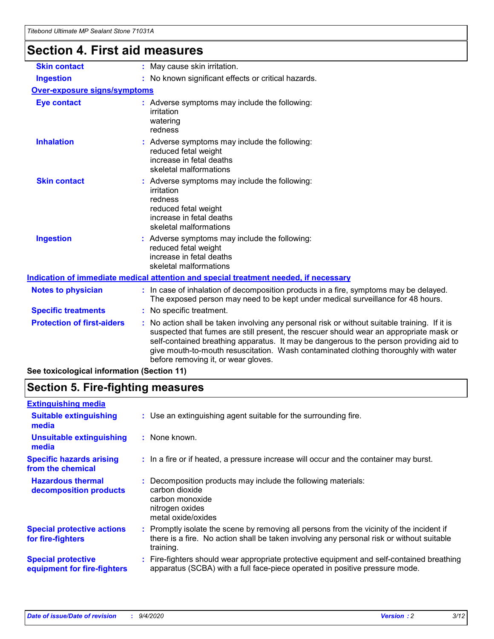# **Section 4. First aid measures**

| <b>Skin contact</b>                 | : May cause skin irritation.                                                                                                                                                                                                                                                                                                                                                                                    |
|-------------------------------------|-----------------------------------------------------------------------------------------------------------------------------------------------------------------------------------------------------------------------------------------------------------------------------------------------------------------------------------------------------------------------------------------------------------------|
| <b>Ingestion</b>                    | : No known significant effects or critical hazards.                                                                                                                                                                                                                                                                                                                                                             |
| <b>Over-exposure signs/symptoms</b> |                                                                                                                                                                                                                                                                                                                                                                                                                 |
| <b>Eye contact</b>                  | : Adverse symptoms may include the following:<br>irritation<br>watering<br>redness                                                                                                                                                                                                                                                                                                                              |
| <b>Inhalation</b>                   | : Adverse symptoms may include the following:<br>reduced fetal weight<br>increase in fetal deaths<br>skeletal malformations                                                                                                                                                                                                                                                                                     |
| <b>Skin contact</b>                 | : Adverse symptoms may include the following:<br>irritation<br>redness<br>reduced fetal weight<br>increase in fetal deaths<br>skeletal malformations                                                                                                                                                                                                                                                            |
| <b>Ingestion</b>                    | : Adverse symptoms may include the following:<br>reduced fetal weight<br>increase in fetal deaths<br>skeletal malformations                                                                                                                                                                                                                                                                                     |
|                                     | <u>Indication of immediate medical attention and special treatment needed, if necessary</u>                                                                                                                                                                                                                                                                                                                     |
| <b>Notes to physician</b>           | : In case of inhalation of decomposition products in a fire, symptoms may be delayed.<br>The exposed person may need to be kept under medical surveillance for 48 hours.                                                                                                                                                                                                                                        |
| <b>Specific treatments</b>          | : No specific treatment.                                                                                                                                                                                                                                                                                                                                                                                        |
| <b>Protection of first-aiders</b>   | : No action shall be taken involving any personal risk or without suitable training. If it is<br>suspected that fumes are still present, the rescuer should wear an appropriate mask or<br>self-contained breathing apparatus. It may be dangerous to the person providing aid to<br>give mouth-to-mouth resuscitation. Wash contaminated clothing thoroughly with water<br>before removing it, or wear gloves. |
|                                     |                                                                                                                                                                                                                                                                                                                                                                                                                 |

**See toxicological information (Section 11)**

### **Section 5. Fire-fighting measures**

| <b>Extinguishing media</b>                               |                                                                                                                                                                                                     |
|----------------------------------------------------------|-----------------------------------------------------------------------------------------------------------------------------------------------------------------------------------------------------|
| <b>Suitable extinguishing</b><br>media                   | : Use an extinguishing agent suitable for the surrounding fire.                                                                                                                                     |
| <b>Unsuitable extinguishing</b><br>media                 | : None known.                                                                                                                                                                                       |
| <b>Specific hazards arising</b><br>from the chemical     | : In a fire or if heated, a pressure increase will occur and the container may burst.                                                                                                               |
| <b>Hazardous thermal</b><br>decomposition products       | Decomposition products may include the following materials:<br>carbon dioxide<br>carbon monoxide<br>nitrogen oxides<br>metal oxide/oxides                                                           |
| <b>Special protective actions</b><br>for fire-fighters   | : Promptly isolate the scene by removing all persons from the vicinity of the incident if<br>there is a fire. No action shall be taken involving any personal risk or without suitable<br>training. |
| <b>Special protective</b><br>equipment for fire-fighters | : Fire-fighters should wear appropriate protective equipment and self-contained breathing<br>apparatus (SCBA) with a full face-piece operated in positive pressure mode.                            |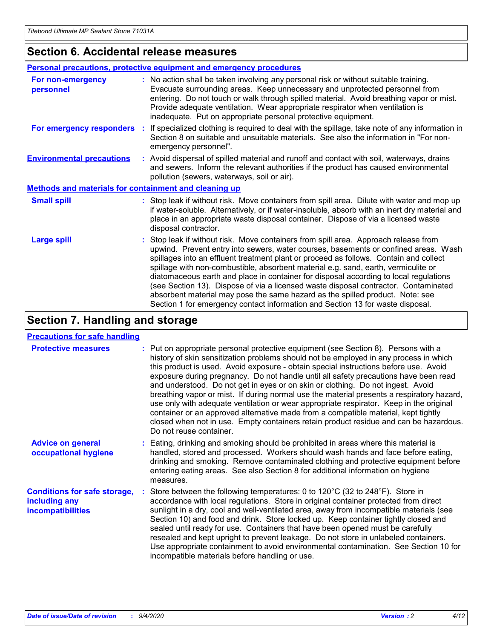### **Section 6. Accidental release measures**

|                                                              | <b>Personal precautions, protective equipment and emergency procedures</b>                                                                                                                                                                                                                                                                                                                                                                                                                                                                                                                                                                                                                                   |
|--------------------------------------------------------------|--------------------------------------------------------------------------------------------------------------------------------------------------------------------------------------------------------------------------------------------------------------------------------------------------------------------------------------------------------------------------------------------------------------------------------------------------------------------------------------------------------------------------------------------------------------------------------------------------------------------------------------------------------------------------------------------------------------|
| For non-emergency<br>personnel                               | : No action shall be taken involving any personal risk or without suitable training.<br>Evacuate surrounding areas. Keep unnecessary and unprotected personnel from<br>entering. Do not touch or walk through spilled material. Avoid breathing vapor or mist.<br>Provide adequate ventilation. Wear appropriate respirator when ventilation is<br>inadequate. Put on appropriate personal protective equipment.                                                                                                                                                                                                                                                                                             |
| For emergency responders                                     | : If specialized clothing is required to deal with the spillage, take note of any information in<br>Section 8 on suitable and unsuitable materials. See also the information in "For non-<br>emergency personnel".                                                                                                                                                                                                                                                                                                                                                                                                                                                                                           |
| <b>Environmental precautions</b>                             | : Avoid dispersal of spilled material and runoff and contact with soil, waterways, drains<br>and sewers. Inform the relevant authorities if the product has caused environmental<br>pollution (sewers, waterways, soil or air).                                                                                                                                                                                                                                                                                                                                                                                                                                                                              |
| <b>Methods and materials for containment and cleaning up</b> |                                                                                                                                                                                                                                                                                                                                                                                                                                                                                                                                                                                                                                                                                                              |
| <b>Small spill</b>                                           | : Stop leak if without risk. Move containers from spill area. Dilute with water and mop up<br>if water-soluble. Alternatively, or if water-insoluble, absorb with an inert dry material and<br>place in an appropriate waste disposal container. Dispose of via a licensed waste<br>disposal contractor.                                                                                                                                                                                                                                                                                                                                                                                                     |
| <b>Large spill</b>                                           | : Stop leak if without risk. Move containers from spill area. Approach release from<br>upwind. Prevent entry into sewers, water courses, basements or confined areas. Wash<br>spillages into an effluent treatment plant or proceed as follows. Contain and collect<br>spillage with non-combustible, absorbent material e.g. sand, earth, vermiculite or<br>diatomaceous earth and place in container for disposal according to local regulations<br>(see Section 13). Dispose of via a licensed waste disposal contractor. Contaminated<br>absorbent material may pose the same hazard as the spilled product. Note: see<br>Section 1 for emergency contact information and Section 13 for waste disposal. |

### **Section 7. Handling and storage**

#### **Precautions for safe handling**

| <b>Protective measures</b>                                                       | : Put on appropriate personal protective equipment (see Section 8). Persons with a<br>history of skin sensitization problems should not be employed in any process in which<br>this product is used. Avoid exposure - obtain special instructions before use. Avoid<br>exposure during pregnancy. Do not handle until all safety precautions have been read<br>and understood. Do not get in eyes or on skin or clothing. Do not ingest. Avoid<br>breathing vapor or mist. If during normal use the material presents a respiratory hazard,<br>use only with adequate ventilation or wear appropriate respirator. Keep in the original<br>container or an approved alternative made from a compatible material, kept tightly<br>closed when not in use. Empty containers retain product residue and can be hazardous.<br>Do not reuse container. |
|----------------------------------------------------------------------------------|--------------------------------------------------------------------------------------------------------------------------------------------------------------------------------------------------------------------------------------------------------------------------------------------------------------------------------------------------------------------------------------------------------------------------------------------------------------------------------------------------------------------------------------------------------------------------------------------------------------------------------------------------------------------------------------------------------------------------------------------------------------------------------------------------------------------------------------------------|
| <b>Advice on general</b><br>occupational hygiene                                 | : Eating, drinking and smoking should be prohibited in areas where this material is<br>handled, stored and processed. Workers should wash hands and face before eating,<br>drinking and smoking. Remove contaminated clothing and protective equipment before<br>entering eating areas. See also Section 8 for additional information on hygiene<br>measures.                                                                                                                                                                                                                                                                                                                                                                                                                                                                                    |
| <b>Conditions for safe storage,</b><br>including any<br><i>incompatibilities</i> | Store between the following temperatures: 0 to 120°C (32 to 248°F). Store in<br>accordance with local regulations. Store in original container protected from direct<br>sunlight in a dry, cool and well-ventilated area, away from incompatible materials (see<br>Section 10) and food and drink. Store locked up. Keep container tightly closed and<br>sealed until ready for use. Containers that have been opened must be carefully<br>resealed and kept upright to prevent leakage. Do not store in unlabeled containers.<br>Use appropriate containment to avoid environmental contamination. See Section 10 for<br>incompatible materials before handling or use.                                                                                                                                                                         |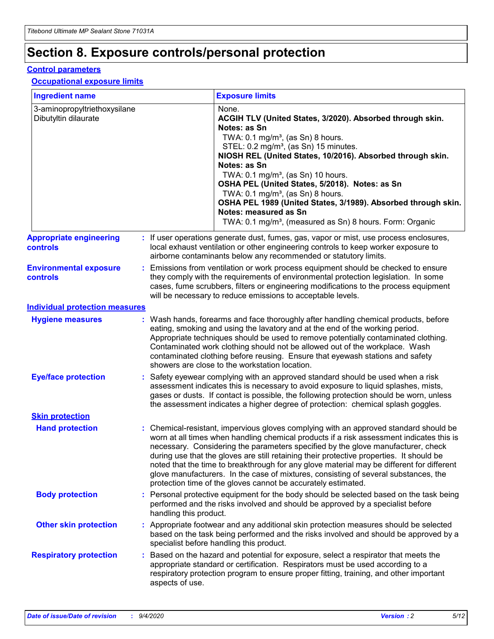# **Section 8. Exposure controls/personal protection**

#### **Control parameters**

#### **Occupational exposure limits**

| <b>Ingredient name</b>                               |    |                        | <b>Exposure limits</b>                                                                                                                                                                                                                                                                                                                                                                                                                                                                                                                                                                                                 |
|------------------------------------------------------|----|------------------------|------------------------------------------------------------------------------------------------------------------------------------------------------------------------------------------------------------------------------------------------------------------------------------------------------------------------------------------------------------------------------------------------------------------------------------------------------------------------------------------------------------------------------------------------------------------------------------------------------------------------|
| 3-aminopropyltriethoxysilane<br>Dibutyltin dilaurate |    |                        | None.<br>ACGIH TLV (United States, 3/2020). Absorbed through skin.<br>Notes: as Sn<br>TWA: $0.1 \text{ mg/m}^3$ , (as Sn) 8 hours.<br>STEL: 0.2 mg/m <sup>3</sup> , (as Sn) 15 minutes.<br>NIOSH REL (United States, 10/2016). Absorbed through skin.<br>Notes: as Sn<br>TWA: 0.1 mg/m <sup>3</sup> , (as Sn) 10 hours.<br>OSHA PEL (United States, 5/2018). Notes: as Sn<br>TWA: $0.1 \text{ mg/m}^3$ , (as Sn) 8 hours.<br>OSHA PEL 1989 (United States, 3/1989). Absorbed through skin.<br>Notes: measured as Sn<br>TWA: 0.1 mg/m <sup>3</sup> , (measured as Sn) 8 hours. Form: Organic                            |
| <b>Appropriate engineering</b><br>controls           |    |                        | : If user operations generate dust, fumes, gas, vapor or mist, use process enclosures,<br>local exhaust ventilation or other engineering controls to keep worker exposure to<br>airborne contaminants below any recommended or statutory limits.                                                                                                                                                                                                                                                                                                                                                                       |
| <b>Environmental exposure</b><br>controls            |    |                        | Emissions from ventilation or work process equipment should be checked to ensure<br>they comply with the requirements of environmental protection legislation. In some<br>cases, fume scrubbers, filters or engineering modifications to the process equipment<br>will be necessary to reduce emissions to acceptable levels.                                                                                                                                                                                                                                                                                          |
| <b>Individual protection measures</b>                |    |                        |                                                                                                                                                                                                                                                                                                                                                                                                                                                                                                                                                                                                                        |
| <b>Hygiene measures</b>                              |    |                        | : Wash hands, forearms and face thoroughly after handling chemical products, before<br>eating, smoking and using the lavatory and at the end of the working period.<br>Appropriate techniques should be used to remove potentially contaminated clothing.<br>Contaminated work clothing should not be allowed out of the workplace. Wash<br>contaminated clothing before reusing. Ensure that eyewash stations and safety<br>showers are close to the workstation location.                                                                                                                                            |
| <b>Eye/face protection</b>                           |    |                        | : Safety eyewear complying with an approved standard should be used when a risk<br>assessment indicates this is necessary to avoid exposure to liquid splashes, mists,<br>gases or dusts. If contact is possible, the following protection should be worn, unless<br>the assessment indicates a higher degree of protection: chemical splash goggles.                                                                                                                                                                                                                                                                  |
| <b>Skin protection</b>                               |    |                        |                                                                                                                                                                                                                                                                                                                                                                                                                                                                                                                                                                                                                        |
| <b>Hand protection</b>                               |    |                        | : Chemical-resistant, impervious gloves complying with an approved standard should be<br>worn at all times when handling chemical products if a risk assessment indicates this is<br>necessary. Considering the parameters specified by the glove manufacturer, check<br>during use that the gloves are still retaining their protective properties. It should be<br>noted that the time to breakthrough for any glove material may be different for different<br>glove manufacturers. In the case of mixtures, consisting of several substances, the<br>protection time of the gloves cannot be accurately estimated. |
| <b>Body protection</b>                               |    | handling this product. | Personal protective equipment for the body should be selected based on the task being<br>performed and the risks involved and should be approved by a specialist before                                                                                                                                                                                                                                                                                                                                                                                                                                                |
| <b>Other skin protection</b>                         |    |                        | : Appropriate footwear and any additional skin protection measures should be selected<br>based on the task being performed and the risks involved and should be approved by a<br>specialist before handling this product.                                                                                                                                                                                                                                                                                                                                                                                              |
| <b>Respiratory protection</b>                        | ÷. | aspects of use.        | Based on the hazard and potential for exposure, select a respirator that meets the<br>appropriate standard or certification. Respirators must be used according to a<br>respiratory protection program to ensure proper fitting, training, and other important                                                                                                                                                                                                                                                                                                                                                         |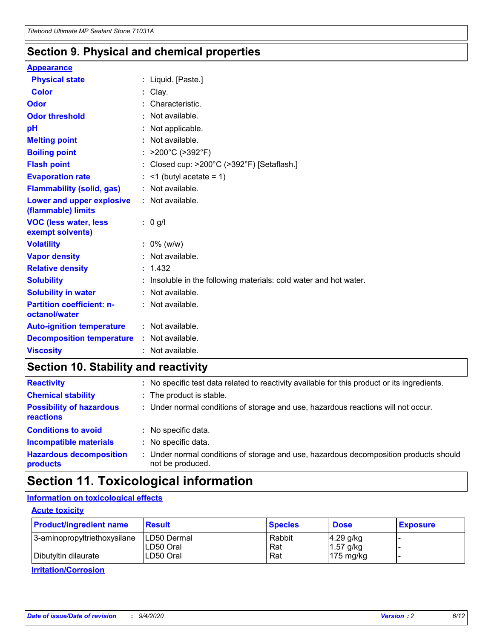### **Section 9. Physical and chemical properties**

#### **Appearance**

| <b>Physical state</b>                             | : Liquid. [Paste.]                                                |
|---------------------------------------------------|-------------------------------------------------------------------|
| <b>Color</b>                                      | Clay.                                                             |
| Odor                                              | Characteristic.                                                   |
| <b>Odor threshold</b>                             | : Not available.                                                  |
| рH                                                | : Not applicable.                                                 |
| <b>Melting point</b>                              | : Not available.                                                  |
| <b>Boiling point</b>                              | : $>200^{\circ}$ C ( $>392^{\circ}$ F)                            |
| <b>Flash point</b>                                | : Closed cup: >200°C (>392°F) [Setaflash.]                        |
| <b>Evaporation rate</b>                           | $:$ <1 (butyl acetate = 1)                                        |
| <b>Flammability (solid, gas)</b>                  | : Not available.                                                  |
| Lower and upper explosive<br>(flammable) limits   | : Not available.                                                  |
| <b>VOC (less water, less</b><br>exempt solvents)  | : 0 g/l                                                           |
| <b>Volatility</b>                                 | $: 0\%$ (w/w)                                                     |
| <b>Vapor density</b>                              | : Not available.                                                  |
| <b>Relative density</b>                           | : 1.432                                                           |
| <b>Solubility</b>                                 | : Insoluble in the following materials: cold water and hot water. |
| <b>Solubility in water</b>                        | : Not available.                                                  |
| <b>Partition coefficient: n-</b><br>octanol/water | : Not available.                                                  |
| <b>Auto-ignition temperature</b>                  | $:$ Not available.                                                |
| <b>Decomposition temperature</b>                  | : Not available.                                                  |
| <b>Viscosity</b>                                  | : Not available.                                                  |

### **Section 10. Stability and reactivity**

| <b>Reactivity</b>                            | : No specific test data related to reactivity available for this product or its ingredients.            |
|----------------------------------------------|---------------------------------------------------------------------------------------------------------|
| <b>Chemical stability</b>                    | : The product is stable.                                                                                |
| <b>Possibility of hazardous</b><br>reactions | : Under normal conditions of storage and use, hazardous reactions will not occur.                       |
| <b>Conditions to avoid</b>                   | : No specific data.                                                                                     |
| <b>Incompatible materials</b>                | : No specific data.                                                                                     |
| <b>Hazardous decomposition</b><br>products   | Under normal conditions of storage and use, hazardous decomposition products should<br>not be produced. |

### **Section 11. Toxicological information**

### **Information on toxicological effects**

#### **Acute toxicity**

| <b>Product/ingredient name</b> | <b>Result</b>           | <b>Species</b> | <b>Dose</b>                | <b>Exposure</b> |
|--------------------------------|-------------------------|----------------|----------------------------|-----------------|
| 3-aminopropyltriethoxysilane   | <b>ILD50 Dermal</b>     | Rabbit         | 4.29 g/kg                  |                 |
| Dibutyltin dilaurate           | ILD50 Oral<br>LD50 Oral | Rat<br>Rat     | $1.57$ g/kg<br>175 $mg/kg$ |                 |
|                                |                         |                |                            |                 |

**Irritation/Corrosion**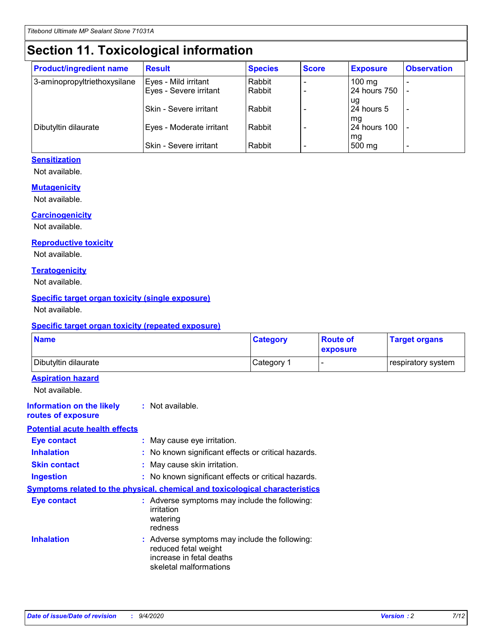# **Section 11. Toxicological information**

| <b>Product/ingredient name</b> | <b>Result</b>            | <b>Species</b> | <b>Score</b> | <b>Exposure</b>     | <b>Observation</b> |
|--------------------------------|--------------------------|----------------|--------------|---------------------|--------------------|
| 3-aminopropyltriethoxysilane   | Eyes - Mild irritant     | Rabbit         |              | $100 \text{ mg}$    |                    |
|                                | Eyes - Severe irritant   | Rabbit         |              | 24 hours 750        |                    |
|                                |                          |                |              | ug                  |                    |
|                                | Skin - Severe irritant   | Rabbit         |              | 24 hours 5          |                    |
|                                |                          |                |              | mq                  |                    |
| Dibutyltin dilaurate           | Eyes - Moderate irritant | Rabbit         |              | <b>24 hours 100</b> |                    |
|                                | Skin - Severe irritant   | Rabbit         |              | mg<br>500 mg        |                    |
|                                |                          |                |              |                     |                    |

#### **Sensitization**

Not available.

#### **Mutagenicity**

Not available.

#### **Carcinogenicity**

Not available.

#### **Reproductive toxicity**

Not available.

#### **Teratogenicity**

Not available.

#### **Specific target organ toxicity (single exposure)**

Not available.

#### **Specific target organ toxicity (repeated exposure)**

| <b>Name</b>                                                                  |                                                                                                                             | <b>Category</b>                                     | <b>Route of</b><br>exposure  | <b>Target organs</b> |  |  |
|------------------------------------------------------------------------------|-----------------------------------------------------------------------------------------------------------------------------|-----------------------------------------------------|------------------------------|----------------------|--|--|
| Dibutyltin dilaurate                                                         |                                                                                                                             | Category 1                                          | $\qquad \qquad \blacksquare$ | respiratory system   |  |  |
| <b>Aspiration hazard</b><br>Not available.                                   |                                                                                                                             |                                                     |                              |                      |  |  |
| <b>Information on the likely</b><br>routes of exposure                       | : Not available.                                                                                                            |                                                     |                              |                      |  |  |
| <b>Potential acute health effects</b>                                        |                                                                                                                             |                                                     |                              |                      |  |  |
| <b>Eye contact</b>                                                           | : May cause eye irritation.                                                                                                 |                                                     |                              |                      |  |  |
| <b>Inhalation</b>                                                            |                                                                                                                             | : No known significant effects or critical hazards. |                              |                      |  |  |
| <b>Skin contact</b>                                                          |                                                                                                                             | : May cause skin irritation.                        |                              |                      |  |  |
| <b>Ingestion</b>                                                             |                                                                                                                             | : No known significant effects or critical hazards. |                              |                      |  |  |
| Symptoms related to the physical, chemical and toxicological characteristics |                                                                                                                             |                                                     |                              |                      |  |  |
| <b>Eye contact</b>                                                           | : Adverse symptoms may include the following:<br>irritation<br>watering<br>redness                                          |                                                     |                              |                      |  |  |
| <b>Inhalation</b>                                                            | : Adverse symptoms may include the following:<br>reduced fetal weight<br>increase in fetal deaths<br>skeletal malformations |                                                     |                              |                      |  |  |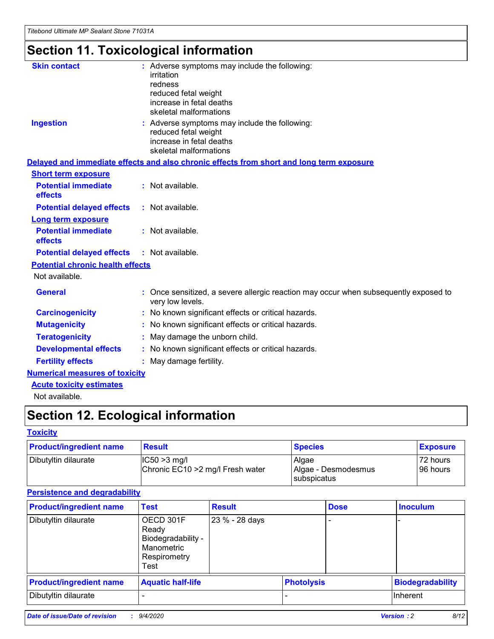# **Section 11. Toxicological information**

| <b>Skin contact</b>                     | : Adverse symptoms may include the following:<br>irritation                                              |
|-----------------------------------------|----------------------------------------------------------------------------------------------------------|
|                                         | redness                                                                                                  |
|                                         | reduced fetal weight                                                                                     |
|                                         | increase in fetal deaths                                                                                 |
|                                         | skeletal malformations                                                                                   |
| <b>Ingestion</b>                        | : Adverse symptoms may include the following:<br>reduced fetal weight                                    |
|                                         | increase in fetal deaths                                                                                 |
|                                         | skeletal malformations                                                                                   |
|                                         | Delayed and immediate effects and also chronic effects from short and long term exposure                 |
| <b>Short term exposure</b>              |                                                                                                          |
| <b>Potential immediate</b><br>effects   | : Not available.                                                                                         |
| <b>Potential delayed effects</b>        | : Not available.                                                                                         |
| Long term exposure                      |                                                                                                          |
| <b>Potential immediate</b>              | : Not available.                                                                                         |
| effects                                 |                                                                                                          |
| <b>Potential delayed effects</b>        | : Not available.                                                                                         |
| <b>Potential chronic health effects</b> |                                                                                                          |
| Not available.                          |                                                                                                          |
| <b>General</b>                          | : Once sensitized, a severe allergic reaction may occur when subsequently exposed to<br>very low levels. |
| <b>Carcinogenicity</b>                  | : No known significant effects or critical hazards.                                                      |
| <b>Mutagenicity</b>                     | No known significant effects or critical hazards.                                                        |
| <b>Teratogenicity</b>                   | May damage the unborn child.                                                                             |
| <b>Developmental effects</b>            | : No known significant effects or critical hazards.                                                      |
| <b>Fertility effects</b>                | : May damage fertility.                                                                                  |
| <b>Numerical measures of toxicity</b>   |                                                                                                          |
| <b>Acute toxicity estimates</b>         |                                                                                                          |
| .                                       |                                                                                                          |

Not available.

# **Section 12. Ecological information**

#### **Toxicity**

| <b>Product/ingredient name</b> | <b>Result</b>                                       | <b>Species</b>               | <b>Exposure</b>       |
|--------------------------------|-----------------------------------------------------|------------------------------|-----------------------|
| Dibutyltin dilaurate           | $ CC50>3$ mg/l<br>Chronic EC10 > 2 mg/l Fresh water | Algae<br>Algae - Desmodesmus | 72 hours<br>196 hours |
|                                |                                                     | <b>I</b> subspicatus         |                       |

#### **Persistence and degradability**

| <b>Product/ingredient name</b> | <b>Test</b>                                                                    | <b>Result</b>  |                   | <b>Dose</b> | <b>Inoculum</b>         |
|--------------------------------|--------------------------------------------------------------------------------|----------------|-------------------|-------------|-------------------------|
| Dibutyltin dilaurate           | OECD 301F<br>Ready<br>Biodegradability -<br>Manometric<br>Respirometry<br>Test | 23 % - 28 days |                   |             |                         |
| <b>Product/ingredient name</b> | <b>Aquatic half-life</b>                                                       |                | <b>Photolysis</b> |             | <b>Biodegradability</b> |
| Dibutyltin dilaurate           |                                                                                |                |                   |             | <b>Inherent</b>         |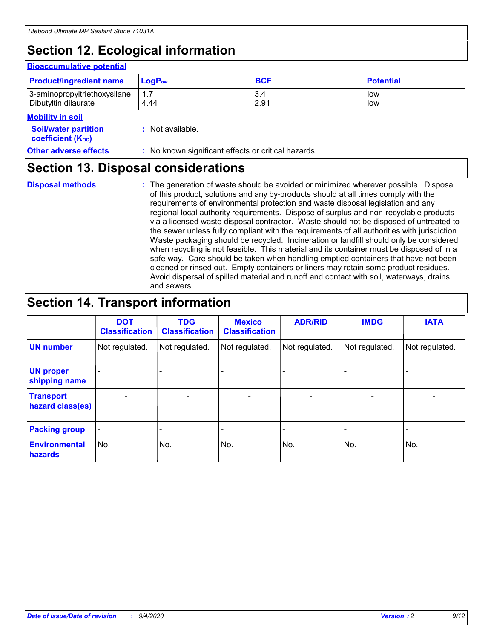# **Section 12. Ecological information**

#### **Bioaccumulative potential**

| <b>Product/ingredient name</b> | <b>LogP</b> <sub>ow</sub> | <b>BCF</b> | <b>Potential</b> |
|--------------------------------|---------------------------|------------|------------------|
| 3-aminopropyltriethoxysilane   | 4.44                      | 3.4        | low              |
| Dibutyltin dilaurate           |                           | 2.91       | low              |

#### **Mobility in soil**

| <b>Soil/water partition</b> | : Not available. |
|-----------------------------|------------------|
| <b>coefficient (Koc)</b>    |                  |

**Other adverse effects** : No known significant effects or critical hazards.

### **Section 13. Disposal considerations**

**Disposal methods :**

The generation of waste should be avoided or minimized wherever possible. Disposal of this product, solutions and any by-products should at all times comply with the requirements of environmental protection and waste disposal legislation and any regional local authority requirements. Dispose of surplus and non-recyclable products via a licensed waste disposal contractor. Waste should not be disposed of untreated to the sewer unless fully compliant with the requirements of all authorities with jurisdiction. Waste packaging should be recycled. Incineration or landfill should only be considered when recycling is not feasible. This material and its container must be disposed of in a safe way. Care should be taken when handling emptied containers that have not been cleaned or rinsed out. Empty containers or liners may retain some product residues. Avoid dispersal of spilled material and runoff and contact with soil, waterways, drains and sewers.

### **Section 14. Transport information**

|                                      | <b>DOT</b><br><b>Classification</b> | <b>TDG</b><br><b>Classification</b> | <b>Mexico</b><br><b>Classification</b> | <b>ADR/RID</b>           | <b>IMDG</b>              | <b>IATA</b>    |
|--------------------------------------|-------------------------------------|-------------------------------------|----------------------------------------|--------------------------|--------------------------|----------------|
| <b>UN number</b>                     | Not regulated.                      | Not regulated.                      | Not regulated.                         | Not regulated.           | Not regulated.           | Not regulated. |
| <b>UN proper</b><br>shipping name    |                                     |                                     |                                        |                          |                          |                |
| <b>Transport</b><br>hazard class(es) |                                     | $\overline{\phantom{0}}$            | $\qquad \qquad \blacksquare$           | $\overline{\phantom{0}}$ | $\overline{\phantom{0}}$ |                |
| <b>Packing group</b>                 |                                     |                                     |                                        |                          |                          |                |
| <b>Environmental</b><br>hazards      | No.                                 | No.                                 | No.                                    | No.                      | No.                      | No.            |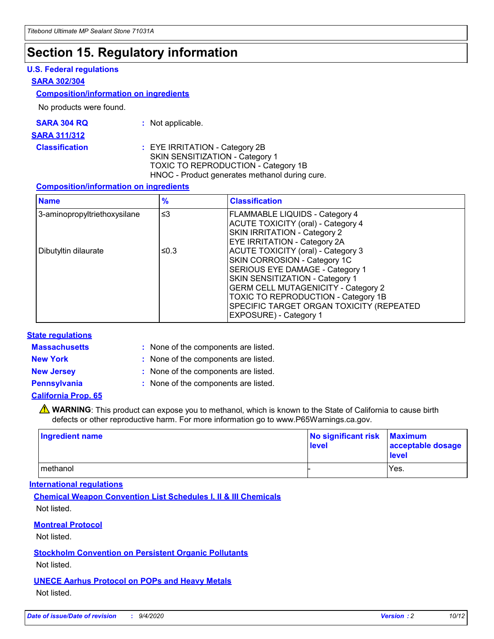### **Section 15. Regulatory information**

#### **U.S. Federal regulations**

#### **SARA 302/304**

#### **Composition/information on ingredients**

No products were found.

| SARA 304 RQ | Not applicable. |
|-------------|-----------------|
|-------------|-----------------|

#### **SARA 311/312**

#### **Classification :** EYE IRRITATION - Category 2B SKIN SENSITIZATION - Category 1 TOXIC TO REPRODUCTION - Category 1B HNOC - Product generates methanol during cure.

#### **Composition/information on ingredients**

| <b>Name</b>                  | $\frac{9}{6}$ | <b>Classification</b>                                                                                                                                                                                                                                                                                      |
|------------------------------|---------------|------------------------------------------------------------------------------------------------------------------------------------------------------------------------------------------------------------------------------------------------------------------------------------------------------------|
| 3-aminopropyltriethoxysilane | $\leq$ 3      | <b>FLAMMABLE LIQUIDS - Category 4</b><br><b>ACUTE TOXICITY (oral) - Category 4</b><br><b>SKIN IRRITATION - Category 2</b><br>EYE IRRITATION - Category 2A                                                                                                                                                  |
| Dibutyltin dilaurate         | ≤0.3          | <b>ACUTE TOXICITY (oral) - Category 3</b><br>SKIN CORROSION - Category 1C<br>SERIOUS EYE DAMAGE - Category 1<br>SKIN SENSITIZATION - Category 1<br><b>GERM CELL MUTAGENICITY - Category 2</b><br>TOXIC TO REPRODUCTION - Category 1B<br>SPECIFIC TARGET ORGAN TOXICITY (REPEATED<br>EXPOSURE) - Category 1 |

#### **State regulations**

**Massachusetts :**

: None of the components are listed.

**New York :** None of the components are listed. **New Jersey :** None of the components are listed.

**Pennsylvania :** None of the components are listed.

#### **California Prop. 65**

WARNING: This product can expose you to methanol, which is known to the State of California to cause birth defects or other reproductive harm. For more information go to www.P65Warnings.ca.gov.

| Ingredient name | No significant risk<br>level | <b>Maximum</b><br>acceptable dosage<br>level |
|-----------------|------------------------------|----------------------------------------------|
| methanol        |                              | Yes.                                         |

#### **International regulations**

**Chemical Weapon Convention List Schedules I, II & III Chemicals** Not listed.

#### **Montreal Protocol**

Not listed.

**Stockholm Convention on Persistent Organic Pollutants**

Not listed.

#### **UNECE Aarhus Protocol on POPs and Heavy Metals** Not listed.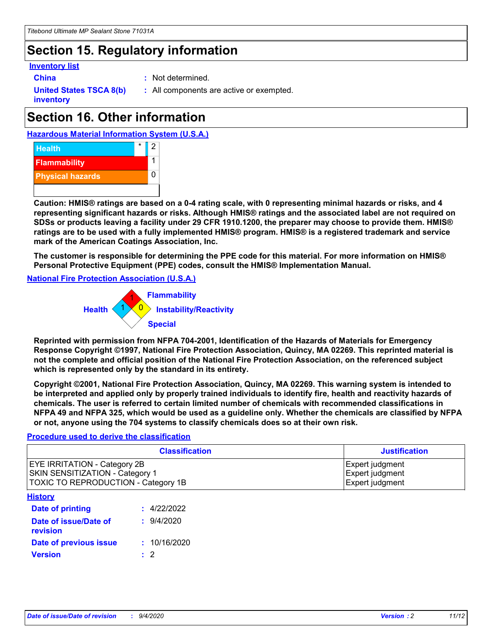### **Section 15. Regulatory information**

#### **Inventory list**

**China :** Not determined.

**United States TSCA 8(b) inventory**

**:** All components are active or exempted.

## **Section 16. Other information**





**Caution: HMIS® ratings are based on a 0-4 rating scale, with 0 representing minimal hazards or risks, and 4 representing significant hazards or risks. Although HMIS® ratings and the associated label are not required on SDSs or products leaving a facility under 29 CFR 1910.1200, the preparer may choose to provide them. HMIS® ratings are to be used with a fully implemented HMIS® program. HMIS® is a registered trademark and service mark of the American Coatings Association, Inc.**

**The customer is responsible for determining the PPE code for this material. For more information on HMIS® Personal Protective Equipment (PPE) codes, consult the HMIS® Implementation Manual.**

**National Fire Protection Association (U.S.A.)**



**Reprinted with permission from NFPA 704-2001, Identification of the Hazards of Materials for Emergency Response Copyright ©1997, National Fire Protection Association, Quincy, MA 02269. This reprinted material is not the complete and official position of the National Fire Protection Association, on the referenced subject which is represented only by the standard in its entirety.**

**Copyright ©2001, National Fire Protection Association, Quincy, MA 02269. This warning system is intended to be interpreted and applied only by properly trained individuals to identify fire, health and reactivity hazards of chemicals. The user is referred to certain limited number of chemicals with recommended classifications in NFPA 49 and NFPA 325, which would be used as a guideline only. Whether the chemicals are classified by NFPA or not, anyone using the 704 systems to classify chemicals does so at their own risk.**

#### **Procedure used to derive the classification**

| <b>Classification</b>                                                                                                | <b>Justification</b>                                  |
|----------------------------------------------------------------------------------------------------------------------|-------------------------------------------------------|
| <b>EYE IRRITATION - Category 2B</b><br><b>SKIN SENSITIZATION - Category 1</b><br>TOXIC TO REPRODUCTION - Category 1B | Expert judgment<br>Expert judgment<br>Expert judgment |
| <b>History</b>                                                                                                       |                                                       |

| .                                 |              |
|-----------------------------------|--------------|
| <b>Date of printing</b>           | : 4/22/2022  |
| Date of issue/Date of<br>revision | 9/4/2020     |
| Date of previous issue            | : 10/16/2020 |
| <b>Version</b>                    | $\cdot$ 2    |
|                                   |              |